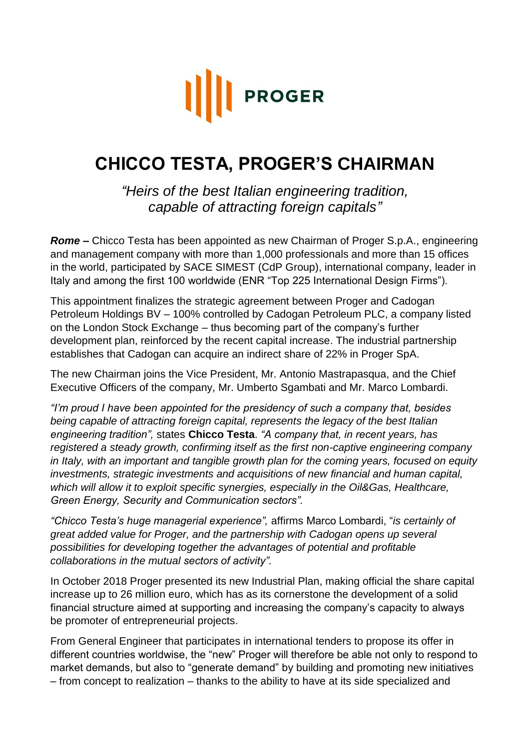

## **CHICCO TESTA, PROGER'S CHAIRMAN**

*"Heirs of the best Italian engineering tradition, capable of attracting foreign capitals"*

*Rome –* Chicco Testa has been appointed as new Chairman of Proger S.p.A., engineering and management company with more than 1,000 professionals and more than 15 offices in the world, participated by SACE SIMEST (CdP Group), international company, leader in Italy and among the first 100 worldwide (ENR "Top 225 International Design Firms").

This appointment finalizes the strategic agreement between Proger and Cadogan Petroleum Holdings BV – 100% controlled by Cadogan Petroleum PLC, a company listed on the London Stock Exchange – thus becoming part of the company's further development plan, reinforced by the recent capital increase. The industrial partnership establishes that Cadogan can acquire an indirect share of 22% in Proger SpA.

The new Chairman joins the Vice President, Mr. Antonio Mastrapasqua, and the Chief Executive Officers of the company, Mr. Umberto Sgambati and Mr. Marco Lombardi.

*"I'm proud I have been appointed for the presidency of such a company that, besides being capable of attracting foreign capital, represents the legacy of the best Italian engineering tradition",* states **Chicco Testa**. *"A company that, in recent years, has registered a steady growth, confirming itself as the first non-captive engineering company in Italy, with an important and tangible growth plan for the coming years, focused on equity investments, strategic investments and acquisitions of new financial and human capital, which will allow it to exploit specific synergies, especially in the Oil&Gas, Healthcare, Green Energy, Security and Communication sectors".*

*"Chicco Testa's huge managerial experience",* affirms Marco Lombardi, "*is certainly of great added value for Proger, and the partnership with Cadogan opens up several possibilities for developing together the advantages of potential and profitable collaborations in the mutual sectors of activity".*

In October 2018 Proger presented its new Industrial Plan, making official the share capital increase up to 26 million euro, which has as its cornerstone the development of a solid financial structure aimed at supporting and increasing the company's capacity to always be promoter of entrepreneurial projects.

From General Engineer that participates in international tenders to propose its offer in different countries worldwise, the "new" Proger will therefore be able not only to respond to market demands, but also to "generate demand" by building and promoting new initiatives – from concept to realization – thanks to the ability to have at its side specialized and